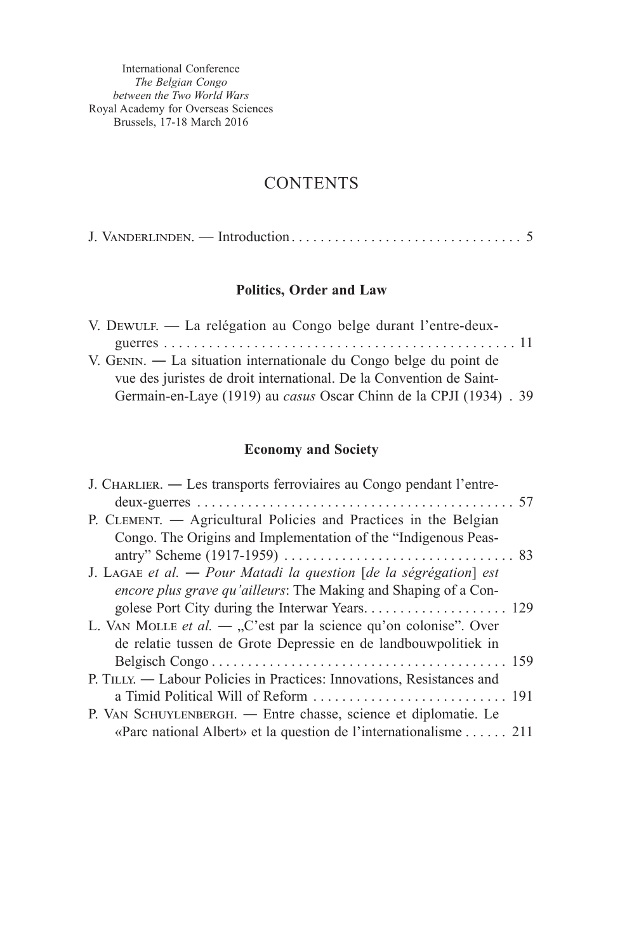International Conference *The Belgian Congo between the Two World Wars* Royal Academy for Overseas Sciences Brussels, 17-18 March 2016

## **CONTENTS**

|--|--|

## **Politics, Order and Law**

| V. DEWULF. — La relégation au Congo belge durant l'entre-deux-      |  |
|---------------------------------------------------------------------|--|
|                                                                     |  |
| V. GENIN. — La situation internationale du Congo belge du point de  |  |
| vue des juristes de droit international. De la Convention de Saint- |  |
| Germain-en-Laye (1919) au casus Oscar Chinn de la CPJI (1934) . 39  |  |

## **Economy and Society**

| J. CHARLIER. — Les transports ferroviaires au Congo pendant l'entre-   |  |
|------------------------------------------------------------------------|--|
|                                                                        |  |
| P. CLEMENT. - Agricultural Policies and Practices in the Belgian       |  |
| Congo. The Origins and Implementation of the "Indigenous Peas-         |  |
|                                                                        |  |
| J. LAGAE et al. — Pour Matadi la question [de la ségrégation] est      |  |
| encore plus grave qu'ailleurs: The Making and Shaping of a Con-        |  |
|                                                                        |  |
| L. VAN MOLLE et al. $-$ , C'est par la science qu'on colonise". Over   |  |
| de relatie tussen de Grote Depressie en de landbouwpolitiek in         |  |
|                                                                        |  |
| P. TILLY. — Labour Policies in Practices: Innovations, Resistances and |  |
|                                                                        |  |
| P. VAN SCHUYLENBERGH. — Entre chasse, science et diplomatie. Le        |  |
| «Parc national Albert» et la question de l'internationalisme  211      |  |